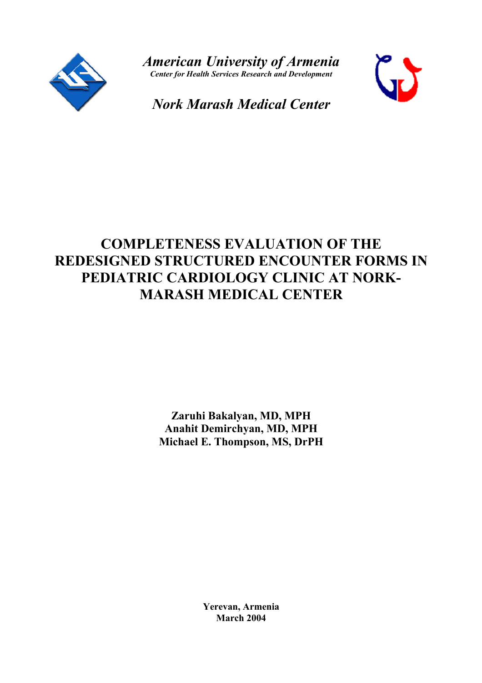

*American University of Armenia Center for Health Services Research and Development*



*Nork Marash Medical Center*

# **COMPLETENESS EVALUATION OF THE REDESIGNED STRUCTURED ENCOUNTER FORMS IN PEDIATRIC CARDIOLOGY CLINIC AT NORK-MARASH MEDICAL CENTER**

**Zaruhi Bakalyan, MD, MPH Anahit Demirchyan, MD, MPH Michael E. Thompson, MS, DrPH**

> **Yerevan, Armenia March 2004**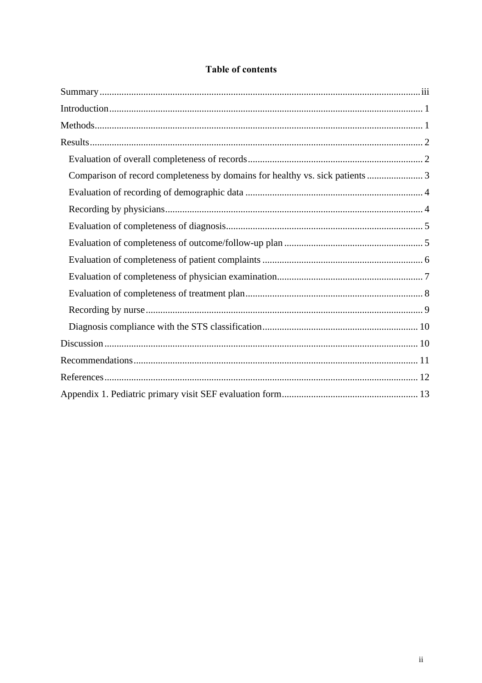# **Table of contents**

| Comparison of record completeness by domains for healthy vs. sick patients 3 |  |
|------------------------------------------------------------------------------|--|
|                                                                              |  |
|                                                                              |  |
|                                                                              |  |
|                                                                              |  |
|                                                                              |  |
|                                                                              |  |
|                                                                              |  |
|                                                                              |  |
|                                                                              |  |
|                                                                              |  |
|                                                                              |  |
|                                                                              |  |
|                                                                              |  |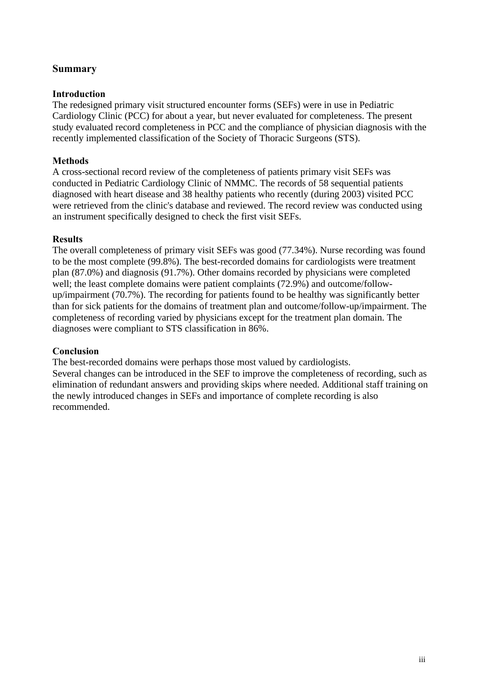# **Summary**

#### **Introduction**

The redesigned primary visit structured encounter forms (SEFs) were in use in Pediatric Cardiology Clinic (PCC) for about a year, but never evaluated for completeness. The present study evaluated record completeness in PCC and the compliance of physician diagnosis with the recently implemented classification of the Society of Thoracic Surgeons (STS).

#### **Methods**

A cross-sectional record review of the completeness of patients primary visit SEFs was conducted in Pediatric Cardiology Clinic of NMMC. The records of 58 sequential patients diagnosed with heart disease and 38 healthy patients who recently (during 2003) visited PCC were retrieved from the clinic's database and reviewed. The record review was conducted using an instrument specifically designed to check the first visit SEFs.

#### **Results**

The overall completeness of primary visit SEFs was good (77.34%). Nurse recording was found to be the most complete (99.8%). The best-recorded domains for cardiologists were treatment plan (87.0%) and diagnosis (91.7%). Other domains recorded by physicians were completed well; the least complete domains were patient complaints (72.9%) and outcome/followup/impairment (70.7%). The recording for patients found to be healthy was significantly better than for sick patients for the domains of treatment plan and outcome/follow-up/impairment. The completeness of recording varied by physicians except for the treatment plan domain. The diagnoses were compliant to STS classification in 86%.

#### **Conclusion**

The best-recorded domains were perhaps those most valued by cardiologists.

Several changes can be introduced in the SEF to improve the completeness of recording, such as elimination of redundant answers and providing skips where needed. Additional staff training on the newly introduced changes in SEFs and importance of complete recording is also recommended.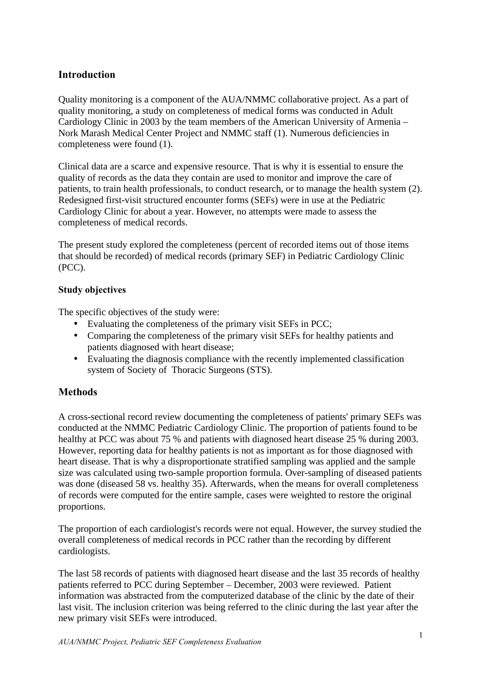# **Introduction**

Quality monitoring is a component of the AUA/NMMC collaborative project. As a part of quality monitoring, a study on completeness of medical forms was conducted in Adult Cardiology Clinic in 2003 by the team members of the American University of Armenia – Nork Marash Medical Center Project and NMMC staff (1). Numerous deficiencies in completeness were found (1).

Clinical data are a scarce and expensive resource. That is why it is essential to ensure the quality of records as the data they contain are used to monitor and improve the care of patients, to train health professionals, to conduct research, or to manage the health system (2). Redesigned first-visit structured encounter forms (SEFs) were in use at the Pediatric Cardiology Clinic for about a year. However, no attempts were made to assess the completeness of medical records.

The present study explored the completeness (percent of recorded items out of those items that should be recorded) of medical records (primary SEF) in Pediatric Cardiology Clinic (PCC).

## **Study objectives**

The specific objectives of the study were:

- Evaluating the completeness of the primary visit SEFs in PCC;
- Comparing the completeness of the primary visit SEFs for healthy patients and patients diagnosed with heart disease;
- Evaluating the diagnosis compliance with the recently implemented classification system of Society of Thoracic Surgeons (STS).

# **Methods**

A cross-sectional record review documenting the completeness of patients' primary SEFs was conducted at the NMMC Pediatric Cardiology Clinic. The proportion of patients found to be healthy at PCC was about 75 % and patients with diagnosed heart disease 25 % during 2003. However, reporting data for healthy patients is not as important as for those diagnosed with heart disease. That is why a disproportionate stratified sampling was applied and the sample size was calculated using two-sample proportion formula. Over-sampling of diseased patients was done (diseased 58 vs. healthy 35). Afterwards, when the means for overall completeness of records were computed for the entire sample, cases were weighted to restore the original proportions.

The proportion of each cardiologist's records were not equal. However, the survey studied the overall completeness of medical records in PCC rather than the recording by different cardiologists.

The last 58 records of patients with diagnosed heart disease and the last 35 records of healthy patients referred to PCC during September – December, 2003 were reviewed. Patient information was abstracted from the computerized database of the clinic by the date of their last visit. The inclusion criterion was being referred to the clinic during the last year after the new primary visit SEFs were introduced.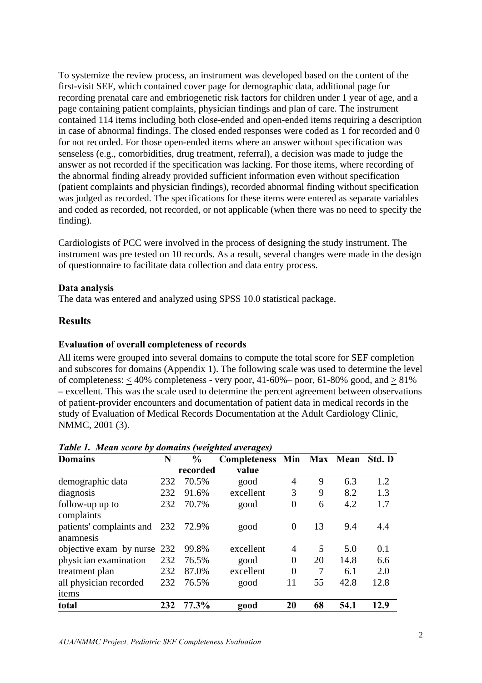To systemize the review process, an instrument was developed based on the content of the first-visit SEF, which contained cover page for demographic data, additional page for recording prenatal care and embriogenetic risk factors for children under 1 year of age, and a page containing patient complaints, physician findings and plan of care. The instrument contained 114 items including both close-ended and open-ended items requiring a description in case of abnormal findings. The closed ended responses were coded as 1 for recorded and 0 for not recorded. For those open-ended items where an answer without specification was senseless (e.g., comorbidities, drug treatment, referral), a decision was made to judge the answer as not recorded if the specification was lacking. For those items, where recording of the abnormal finding already provided sufficient information even without specification (patient complaints and physician findings), recorded abnormal finding without specification was judged as recorded. The specifications for these items were entered as separate variables and coded as recorded, not recorded, or not applicable (when there was no need to specify the finding).

Cardiologists of PCC were involved in the process of designing the study instrument. The instrument was pre tested on 10 records. As a result, several changes were made in the design of questionnaire to facilitate data collection and data entry process.

#### **Data analysis**

The data was entered and analyzed using SPSS 10.0 statistical package.

#### **Results**

#### **Evaluation of overall completeness of records**

All items were grouped into several domains to compute the total score for SEF completion and subscores for domains (Appendix 1). The following scale was used to determine the level of completeness:  $<$  40% completeness - very poor, 41-60%– poor, 61-80% good, and  $>$  81% – excellent. This was the scale used to determine the percent agreement between observations of patient-provider encounters and documentation of patient data in medical records in the study of Evaluation of Medical Records Documentation at the Adult Cardiology Clinic, NMMC, 2001 (3).

| <b>Domains</b>                                  | N   | $\frac{6}{9}$ | Completeness Min Max Mean |                |    |      | Std. D |
|-------------------------------------------------|-----|---------------|---------------------------|----------------|----|------|--------|
|                                                 |     | recorded      | value                     |                |    |      |        |
| demographic data                                | 232 | 70.5%         | good                      | 4              | 9  | 6.3  | 1.2    |
| diagnosis                                       | 232 | 91.6%         | excellent                 | 3              | 9  | 8.2  | 1.3    |
| follow-up up to<br>complaints                   | 232 | 70.7%         | good                      | $\overline{0}$ | 6  | 4.2  | 1.7    |
| patients' complaints and 232 72.9%<br>anamnesis |     |               | good                      | $\theta$       | 13 | 9.4  | 4.4    |
| objective exam by nurse 232                     |     | 99.8%         | excellent                 | $\overline{A}$ | 5  | 5.0  | 0.1    |
| physician examination                           | 232 | 76.5%         | good                      | $\overline{0}$ | 20 | 14.8 | 6.6    |
| treatment plan                                  | 232 | 87.0%         | excellent                 | $\overline{0}$ | 7  | 6.1  | 2.0    |
| all physician recorded<br>items                 | 232 | 76.5%         | good                      | 11             | 55 | 42.8 | 12.8   |
| total                                           | 232 | 77.3%         | good                      | 20             | 68 | 54.1 | 12.9   |

#### *Table 1. Mean score by domains (weighted averages)*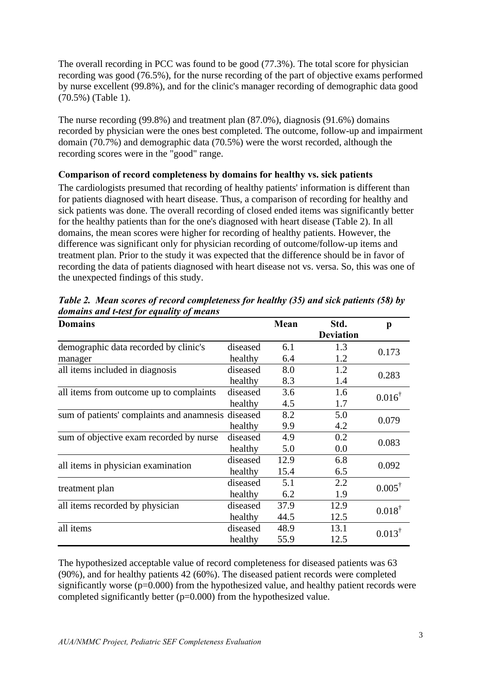The overall recording in PCC was found to be good (77.3%). The total score for physician recording was good (76.5%), for the nurse recording of the part of objective exams performed by nurse excellent (99.8%), and for the clinic's manager recording of demographic data good (70.5%) (Table 1).

The nurse recording (99.8%) and treatment plan (87.0%), diagnosis (91.6%) domains recorded by physician were the ones best completed. The outcome, follow-up and impairment domain (70.7%) and demographic data (70.5%) were the worst recorded, although the recording scores were in the "good" range.

## **Comparison of record completeness by domains for healthy vs. sick patients**

The cardiologists presumed that recording of healthy patients' information is different than for patients diagnosed with heart disease. Thus, a comparison of recording for healthy and sick patients was done. The overall recording of closed ended items was significantly better for the healthy patients than for the one's diagnosed with heart disease (Table 2). In all domains, the mean scores were higher for recording of healthy patients. However, the difference was significant only for physician recording of outcome/follow-up items and treatment plan. Prior to the study it was expected that the difference should be in favor of recording the data of patients diagnosed with heart disease not vs. versa. So, this was one of the unexpected findings of this study.

| <b>Domains</b>                                     |          | <b>Mean</b> | Std.             | p                 |  |
|----------------------------------------------------|----------|-------------|------------------|-------------------|--|
|                                                    |          |             | <b>Deviation</b> |                   |  |
| demographic data recorded by clinic's              | diseased | 6.1         | 1.3              | 0.173             |  |
| manager                                            | healthy  | 6.4         | 1.2              |                   |  |
| all items included in diagnosis                    | diseased | 8.0         | 1.2              | 0.283             |  |
|                                                    | healthy  | 8.3         | 1.4              |                   |  |
| all items from outcome up to complaints            | diseased | 3.6         | 1.6              | $0.016^{\dagger}$ |  |
|                                                    | healthy  | 4.5         | 1.7              |                   |  |
| sum of patients' complaints and anamnesis diseased |          | 8.2         | 5.0              | 0.079             |  |
|                                                    | healthy  | 9.9         | 4.2              |                   |  |
| sum of objective exam recorded by nurse            | diseased | 4.9         | 0.2              | 0.083             |  |
|                                                    | healthy  | 5.0         | 0.0              |                   |  |
| all items in physician examination                 | diseased | 12.9        | 6.8              |                   |  |
|                                                    | healthy  | 15.4        | 6.5              | 0.092             |  |
|                                                    | diseased | 5.1         | 2.2              | $0.005^{\dagger}$ |  |
| treatment plan                                     | healthy  | 6.2         | 1.9              |                   |  |
| all items recorded by physician                    | diseased | 37.9        | 12.9             | $0.018^{\dagger}$ |  |
|                                                    | healthy  | 44.5        | 12.5             |                   |  |
| all items                                          | diseased | 48.9        | 13.1             | $0.013^{\dagger}$ |  |
|                                                    | healthy  | 55.9        | 12.5             |                   |  |

*Table 2. Mean scores of record completeness for healthy (35) and sick patients (58) by domains and t-test for equality of means*

The hypothesized acceptable value of record completeness for diseased patients was 63 (90%), and for healthy patients 42 (60%). The diseased patient records were completed significantly worse ( $p=0.000$ ) from the hypothesized value, and healthy patient records were completed significantly better (p=0.000) from the hypothesized value.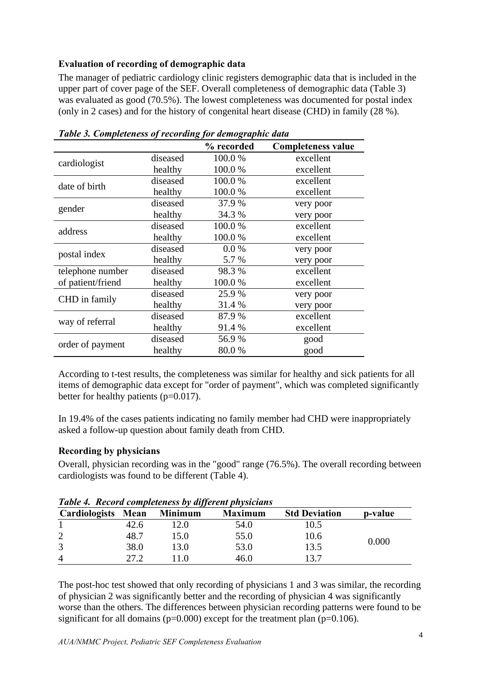## **Evaluation of recording of demographic data**

The manager of pediatric cardiology clinic registers demographic data that is included in the upper part of cover page of the SEF. Overall completeness of demographic data (Table 3) was evaluated as good (70.5%). The lowest completeness was documented for postal index (only in 2 cases) and for the history of congenital heart disease (CHD) in family (28 %).

|                   |          | % recorded | <b>Completeness value</b> |
|-------------------|----------|------------|---------------------------|
| cardiologist      | diseased | 100.0%     | excellent                 |
|                   | healthy  | 100.0%     | excellent                 |
| date of birth     | diseased | 100.0 %    | excellent                 |
|                   | healthy  | 100.0 %    | excellent                 |
|                   | diseased | 37.9 %     | very poor                 |
| gender            | healthy  | 34.3 %     | very poor                 |
| address           | diseased | 100.0%     | excellent                 |
|                   | healthy  | 100.0%     | excellent                 |
|                   | diseased | 0.0 %      | very poor                 |
| postal index      | healthy  | 5.7 %      | very poor                 |
| telephone number  | diseased | 98.3 %     | excellent                 |
| of patient/friend | healthy  | 100.0%     | excellent                 |
| CHD in family     | diseased | 25.9 %     | very poor                 |
|                   | healthy  | 31.4 %     | very poor                 |
|                   | diseased | 87.9 %     | excellent                 |
| way of referral   | healthy  | 91.4 %     | excellent                 |
|                   | diseased | 56.9%      | good                      |
| order of payment  | healthy  | 80.0%      | good                      |

*Table 3. Completeness of recording for demographic data* 

According to t-test results, the completeness was similar for healthy and sick patients for all items of demographic data except for "order of payment", which was completed significantly better for healthy patients (p=0.017).

In 19.4% of the cases patients indicating no family member had CHD were inappropriately asked a follow-up question about family death from CHD.

## **Recording by physicians**

Overall, physician recording was in the "good" range (76.5%). The overall recording between cardiologists was found to be different (Table 4).

|                    |      |                | Tuble 7. Record completeness by all event physicians |                      |         |  |
|--------------------|------|----------------|------------------------------------------------------|----------------------|---------|--|
| Cardiologists Mean |      | <b>Minimum</b> | <b>Maximum</b>                                       | <b>Std Deviation</b> | p-value |  |
|                    | 42.6 | 12.0           | 54.0                                                 | 10.5                 |         |  |
| 2                  | 48.7 | .5.0           | 55.0                                                 | 10.6                 | 0.000   |  |
| 3                  | 38.0 | l3.0           | 53.0                                                 | 13.5                 |         |  |
| 4                  | 27.2 | 10             | 46.0                                                 | 13.7                 |         |  |

*Table 4. Record completeness by different physicians*

The post-hoc test showed that only recording of physicians 1 and 3 was similar, the recording of physician 2 was significantly better and the recording of physician 4 was significantly worse than the others. The differences between physician recording patterns were found to be significant for all domains ( $p=0.000$ ) except for the treatment plan ( $p=0.106$ ).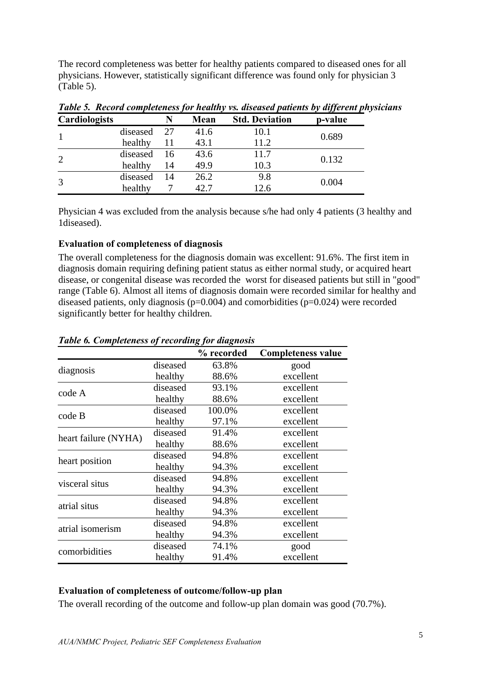The record completeness was better for healthy patients compared to diseased ones for all physicians. However, statistically significant difference was found only for physician 3 (Table 5).

|                      |          |    |      |                       | $\cdot$<br>$\overline{\phantom{a}}$ |
|----------------------|----------|----|------|-----------------------|-------------------------------------|
| <b>Cardiologists</b> |          | N  | Mean | <b>Std. Deviation</b> | p-value                             |
|                      | diseased | 27 | 41.6 | 10.1                  | 0.689                               |
|                      | healthy  | 11 | 43.1 | 11.2                  |                                     |
| 2                    | diseased | 16 | 43.6 | 11.7                  | 0.132                               |
|                      | healthy  | 14 | 49.9 | 10.3                  |                                     |
| 3                    | diseased | 14 | 26.2 | 9.8                   | 0.004                               |
|                      | healthy  |    | 42.7 | 12.6                  |                                     |

*Table 5. Record completeness for healthy vs. diseased patients by different physicians*

Physician 4 was excluded from the analysis because s/he had only 4 patients (3 healthy and 1diseased).

## **Evaluation of completeness of diagnosis**

The overall completeness for the diagnosis domain was excellent: 91.6%. The first item in diagnosis domain requiring defining patient status as either normal study, or acquired heart disease, or congenital disease was recorded the worst for diseased patients but still in "good" range (Table 6). Almost all items of diagnosis domain were recorded similar for healthy and diseased patients, only diagnosis (p=0.004) and comorbidities (p=0.024) were recorded significantly better for healthy children.

|                      |          | % recorded | <b>Completeness value</b> |
|----------------------|----------|------------|---------------------------|
|                      | diseased | 63.8%      | good                      |
| diagnosis            | healthy  | 88.6%      | excellent                 |
| code A               | diseased | 93.1%      | excellent                 |
|                      | healthy  | 88.6%      | excellent                 |
| code B               | diseased | 100.0%     | excellent                 |
|                      | healthy  | 97.1%      | excellent                 |
| heart failure (NYHA) | diseased | 91.4%      | excellent                 |
|                      | healthy  | 88.6%      | excellent                 |
|                      | diseased | 94.8%      | excellent                 |
| heart position       | healthy  | 94.3%      | excellent                 |
| visceral situs       | diseased | 94.8%      | excellent                 |
|                      | healthy  | 94.3%      | excellent                 |
| atrial situs         | diseased | 94.8%      | excellent                 |
|                      | healthy  | 94.3%      | excellent                 |
| atrial isomerism     | diseased | 94.8%      | excellent                 |
|                      | healthy  | 94.3%      | excellent                 |
| comorbidities        | diseased | 74.1%      | good                      |
|                      | healthy  | 91.4%      | excellent                 |

## *Table 6. Completeness of recording for diagnosis*

## **Evaluation of completeness of outcome/follow-up plan**

The overall recording of the outcome and follow-up plan domain was good (70.7%).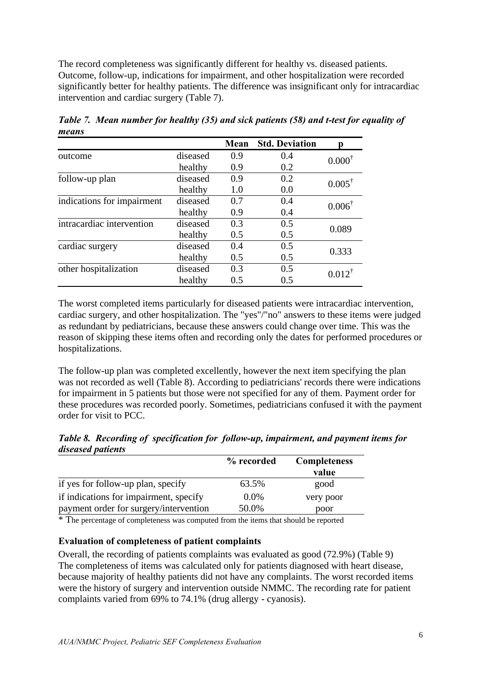The record completeness was significantly different for healthy vs. diseased patients. Outcome, follow-up, indications for impairment, and other hospitalization were recorded significantly better for healthy patients. The difference was insignificant only for intracardiac intervention and cardiac surgery (Table 7).

|                            |          | Mean | <b>Std. Deviation</b> |                   |
|----------------------------|----------|------|-----------------------|-------------------|
| outcome                    | diseased | 0.9  | 0.4                   | $0.000^{\dagger}$ |
|                            | healthy  | 0.9  | 0.2                   |                   |
| follow-up plan             | diseased | 0.9  | 0.2                   | $0.005^{\dagger}$ |
|                            | healthy  | 1.0  | 0.0                   |                   |
| indications for impairment | diseased | 0.7  | 0.4                   | $0.006^{\dagger}$ |
|                            | healthy  | 0.9  | 0.4                   |                   |
| intracardiac intervention  | diseased | 0.3  | 0.5                   | 0.089             |
|                            | healthy  | 0.5  | 0.5                   |                   |
| cardiac surgery            | diseased | 0.4  | 0.5                   | 0.333             |
|                            | healthy  | 0.5  | 0.5                   |                   |
| other hospitalization      | diseased | 0.3  | 0.5                   | $0.012^{\dagger}$ |
|                            | healthy  | 0.5  | 0.5                   |                   |

*Table 7. Mean number for healthy (35) and sick patients (58) and t-test for equality of means* 

The worst completed items particularly for diseased patients were intracardiac intervention, cardiac surgery, and other hospitalization. The "yes"/"no" answers to these items were judged as redundant by pediatricians, because these answers could change over time. This was the reason of skipping these items often and recording only the dates for performed procedures or hospitalizations.

The follow-up plan was completed excellently, however the next item specifying the plan was not recorded as well (Table 8). According to pediatricians' records there were indications for impairment in 5 patients but those were not specified for any of them. Payment order for these procedures was recorded poorly. Sometimes, pediatricians confused it with the payment order for visit to PCC.

|                          |  |  | Table 8. Recording of specification for follow-up, impairment, and payment items for |  |
|--------------------------|--|--|--------------------------------------------------------------------------------------|--|
| <i>diseased patients</i> |  |  |                                                                                      |  |

|                                        | % recorded | <b>Completeness</b><br>value |
|----------------------------------------|------------|------------------------------|
| if yes for follow-up plan, specify     | 63.5%      | good                         |
| if indications for impairment, specify | $0.0\%$    | very poor                    |
| payment order for surgery/intervention | 50.0%      | poor                         |

\* The percentage of completeness was computed from the items that should be reported

#### **Evaluation of completeness of patient complaints**

Overall, the recording of patients complaints was evaluated as good (72.9%) (Table 9) The completeness of items was calculated only for patients diagnosed with heart disease, because majority of healthy patients did not have any complaints. The worst recorded items were the history of surgery and intervention outside NMMC. The recording rate for patient complaints varied from 69% to 74.1% (drug allergy - cyanosis).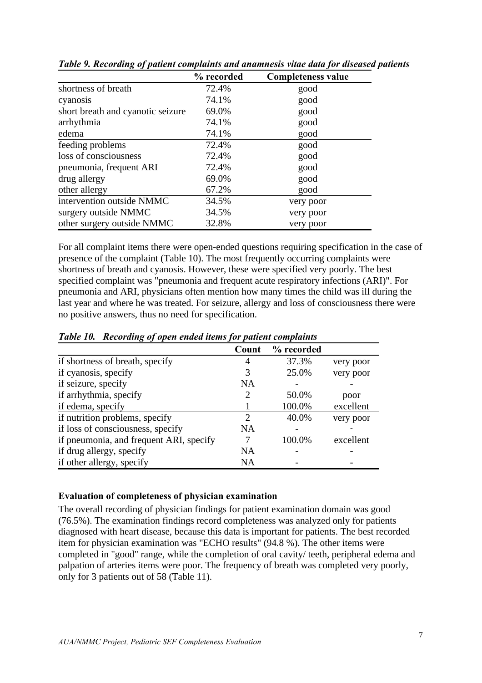|                                   | % recorded | <b>Completeness value</b> |
|-----------------------------------|------------|---------------------------|
| shortness of breath               | 72.4%      | good                      |
| cyanosis                          | 74.1%      | good                      |
| short breath and cyanotic seizure | 69.0%      | good                      |
| arrhythmia                        | 74.1%      | good                      |
| edema                             | 74.1%      | good                      |
| feeding problems                  | 72.4%      | good                      |
| loss of consciousness             | 72.4%      | good                      |
| pneumonia, frequent ARI           | 72.4%      | good                      |
| drug allergy                      | 69.0%      | good                      |
| other allergy                     | 67.2%      | good                      |
| intervention outside NMMC         | 34.5%      | very poor                 |
| surgery outside NMMC              | 34.5%      | very poor                 |
| other surgery outside NMMC        | 32.8%      | very poor                 |

*Table 9. Recording of patient complaints and anamnesis vitae data for diseased patients* 

For all complaint items there were open-ended questions requiring specification in the case of presence of the complaint (Table 10). The most frequently occurring complaints were shortness of breath and cyanosis. However, these were specified very poorly. The best specified complaint was "pneumonia and frequent acute respiratory infections (ARI)". For pneumonia and ARI, physicians often mention how many times the child was ill during the last year and where he was treated. For seizure, allergy and loss of consciousness there were no positive answers, thus no need for specification.

|                                         | Count         | % recorded |           |
|-----------------------------------------|---------------|------------|-----------|
| if shortness of breath, specify         | 4             | 37.3%      | very poor |
| if cyanosis, specify                    | 3             | 25.0%      | very poor |
| if seizure, specify                     | NA            |            |           |
| if arrhythmia, specify                  | 2             | 50.0%      | poor      |
| if edema, specify                       |               | 100.0%     | excellent |
| if nutrition problems, specify          | $\mathcal{D}$ | 40.0%      | very poor |
| if loss of consciousness, specify       | NA            |            |           |
| if pneumonia, and frequent ARI, specify | 7             | 100.0%     | excellent |
| if drug allergy, specify                | NA            |            |           |
| if other allergy, specify               | NA            |            |           |

*Table 10. Recording of open ended items for patient complaints*

## **Evaluation of completeness of physician examination**

The overall recording of physician findings for patient examination domain was good (76.5%). The examination findings record completeness was analyzed only for patients diagnosed with heart disease, because this data is important for patients. The best recorded item for physician examination was "ECHO results" (94.8 %). The other items were completed in "good" range, while the completion of oral cavity/ teeth, peripheral edema and palpation of arteries items were poor. The frequency of breath was completed very poorly, only for 3 patients out of 58 (Table 11).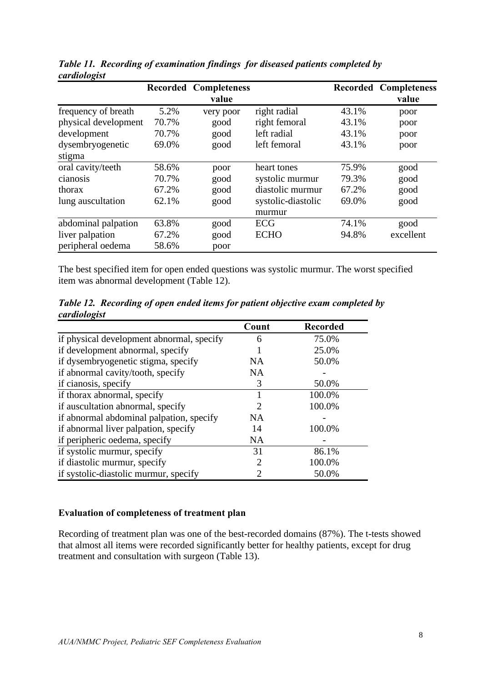|                      |       | <b>Recorded Completeness</b><br>value |                    |       | <b>Recorded Completeness</b><br>value |
|----------------------|-------|---------------------------------------|--------------------|-------|---------------------------------------|
| frequency of breath  | 5.2%  | very poor                             | right radial       | 43.1% | poor                                  |
| physical development | 70.7% | good                                  | right femoral      | 43.1% | poor                                  |
| development          | 70.7% | good                                  | left radial        | 43.1% | poor                                  |
| dysembryogenetic     | 69.0% | good                                  | left femoral       | 43.1% | poor                                  |
| stigma               |       |                                       |                    |       |                                       |
| oral cavity/teeth    | 58.6% | poor                                  | heart tones        | 75.9% | good                                  |
| cianosis             | 70.7% | good                                  | systolic murmur    | 79.3% | good                                  |
| thorax               | 67.2% | good                                  | diastolic murmur   | 67.2% | good                                  |
| lung auscultation    | 62.1% | good                                  | systolic-diastolic | 69.0% | good                                  |
|                      |       |                                       | murmur             |       |                                       |
| abdominal palpation  | 63.8% | good                                  | ECG                | 74.1% | good                                  |
| liver palpation      | 67.2% | good                                  | <b>ECHO</b>        | 94.8% | excellent                             |
| peripheral oedema    | 58.6% | poor                                  |                    |       |                                       |

*Table 11. Recording of examination findings for diseased patients completed by cardiologist*

The best specified item for open ended questions was systolic murmur. The worst specified item was abnormal development (Table 12).

*Table 12. Recording of open ended items for patient objective exam completed by cardiologist*

|                                           | Count | <b>Recorded</b> |
|-------------------------------------------|-------|-----------------|
| if physical development abnormal, specify | 6     | 75.0%           |
| if development abnormal, specify          |       | 25.0%           |
| if dysembryogenetic stigma, specify       | NA    | 50.0%           |
| if abnormal cavity/tooth, specify         | NA    |                 |
| if cianosis, specify                      | 3     | 50.0%           |
| if thorax abnormal, specify               |       | 100.0%          |
| if auscultation abnormal, specify         | 2     | 100.0%          |
| if abnormal abdominal palpation, specify  | NA    |                 |
| if abnormal liver palpation, specify      | 14    | 100.0%          |
| if peripheric oedema, specify             | NA    |                 |
| if systolic murmur, specify               | 31    | 86.1%           |
| if diastolic murmur, specify              | 2     | 100.0%          |
| if systolic-diastolic murmur, specify     | 2     | 50.0%           |

## **Evaluation of completeness of treatment plan**

Recording of treatment plan was one of the best-recorded domains (87%). The t-tests showed that almost all items were recorded significantly better for healthy patients, except for drug treatment and consultation with surgeon (Table 13).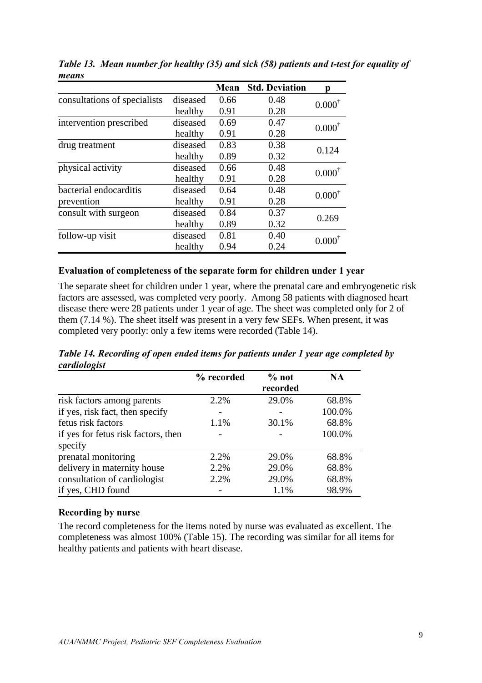|                                          |          | Mean | <b>Std. Deviation</b> | n                 |  |
|------------------------------------------|----------|------|-----------------------|-------------------|--|
| consultations of specialists<br>diseased |          | 0.66 | 0.48                  | $0.000^{\dagger}$ |  |
|                                          | healthy  | 0.91 | 0.28                  |                   |  |
| intervention prescribed                  | diseased | 0.69 | 0.47                  | $0.000^{\dagger}$ |  |
|                                          | healthy  | 0.91 | 0.28                  |                   |  |
| drug treatment                           | diseased | 0.83 | 0.38                  | 0.124             |  |
|                                          | healthy  | 0.89 | 0.32                  |                   |  |
| physical activity                        | diseased | 0.66 | 0.48                  | $0.000^{\dagger}$ |  |
|                                          | healthy  | 0.91 | 0.28                  |                   |  |
| bacterial endocarditis                   | diseased | 0.64 | 0.48                  | $0.000^{\dagger}$ |  |
| prevention                               | healthy  | 0.91 | 0.28                  |                   |  |
| consult with surgeon                     | diseased | 0.84 | 0.37                  | 0.269             |  |
|                                          | healthy  | 0.89 | 0.32                  |                   |  |
| follow-up visit                          | diseased | 0.81 | 0.40                  | 0.000             |  |
|                                          | healthy  | 0.94 | 0.24                  |                   |  |

*Table 13. Mean number for healthy (35) and sick (58) patients and t-test for equality of means* 

#### **Evaluation of completeness of the separate form for children under 1 year**

The separate sheet for children under 1 year, where the prenatal care and embryogenetic risk factors are assessed, was completed very poorly. Among 58 patients with diagnosed heart disease there were 28 patients under 1 year of age. The sheet was completed only for 2 of them (7.14 %). The sheet itself was present in a very few SEFs. When present, it was completed very poorly: only a few items were recorded (Table 14).

*Table 14. Recording of open ended items for patients under 1 year age completed by cardiologist*

| $\cdot$ $\cdot$                     | % recorded | $%$ not  | <b>NA</b> |
|-------------------------------------|------------|----------|-----------|
|                                     |            | recorded |           |
| risk factors among parents          | 2.2%       | 29.0%    | 68.8%     |
| if yes, risk fact, then specify     |            |          | 100.0%    |
| fetus risk factors                  | 1.1%       | 30.1%    | 68.8%     |
| if yes for fetus risk factors, then |            |          | 100.0%    |
| specify                             |            |          |           |
| prenatal monitoring                 | 2.2%       | 29.0%    | 68.8%     |
| delivery in maternity house         | 2.2%       | 29.0%    | 68.8%     |
| consultation of cardiologist        | 2.2%       | 29.0%    | 68.8%     |
| if yes, CHD found                   |            | 1.1%     | 98.9%     |

#### **Recording by nurse**

The record completeness for the items noted by nurse was evaluated as excellent. The completeness was almost 100% (Table 15). The recording was similar for all items for healthy patients and patients with heart disease.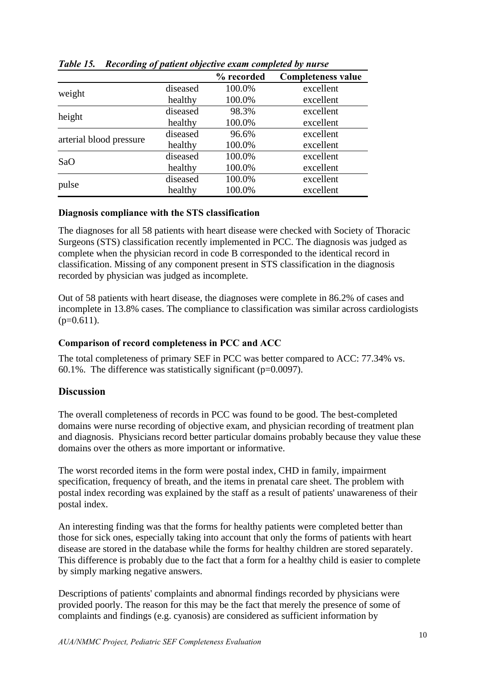|                         |          | % recorded | <b>Completeness value</b> |
|-------------------------|----------|------------|---------------------------|
|                         | diseased | 100.0%     | excellent                 |
| weight                  | healthy  | 100.0%     | excellent                 |
|                         | diseased | 98.3%      | excellent                 |
| height                  | healthy  | 100.0%     | excellent                 |
| arterial blood pressure | diseased | 96.6%      | excellent                 |
|                         | healthy  | 100.0%     | excellent                 |
| SaO                     | diseased | 100.0%     | excellent                 |
|                         | healthy  | 100.0%     | excellent                 |
| pulse                   | diseased | 100.0%     | excellent                 |
|                         | healthy  | 100.0%     | excellent                 |

*Table 15. Recording of patient objective exam completed by nurse*

## **Diagnosis compliance with the STS classification**

The diagnoses for all 58 patients with heart disease were checked with Society of Thoracic Surgeons (STS) classification recently implemented in PCC. The diagnosis was judged as complete when the physician record in code B corresponded to the identical record in classification. Missing of any component present in STS classification in the diagnosis recorded by physician was judged as incomplete.

Out of 58 patients with heart disease, the diagnoses were complete in 86.2% of cases and incomplete in 13.8% cases. The compliance to classification was similar across cardiologists  $(p=0.611)$ .

## **Comparison of record completeness in PCC and ACC**

The total completeness of primary SEF in PCC was better compared to ACC: 77.34% vs. 60.1%. The difference was statistically significant  $(p=0.0097)$ .

# **Discussion**

The overall completeness of records in PCC was found to be good. The best-completed domains were nurse recording of objective exam, and physician recording of treatment plan and diagnosis. Physicians record better particular domains probably because they value these domains over the others as more important or informative.

The worst recorded items in the form were postal index, CHD in family, impairment specification, frequency of breath, and the items in prenatal care sheet. The problem with postal index recording was explained by the staff as a result of patients' unawareness of their postal index.

An interesting finding was that the forms for healthy patients were completed better than those for sick ones, especially taking into account that only the forms of patients with heart disease are stored in the database while the forms for healthy children are stored separately. This difference is probably due to the fact that a form for a healthy child is easier to complete by simply marking negative answers.

Descriptions of patients' complaints and abnormal findings recorded by physicians were provided poorly. The reason for this may be the fact that merely the presence of some of complaints and findings (e.g. cyanosis) are considered as sufficient information by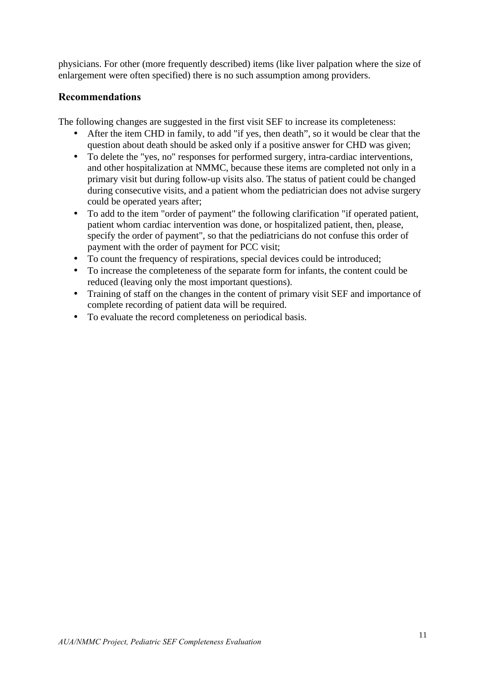physicians. For other (more frequently described) items (like liver palpation where the size of enlargement were often specified) there is no such assumption among providers.

# **Recommendations**

The following changes are suggested in the first visit SEF to increase its completeness:

- After the item CHD in family, to add "if yes, then death", so it would be clear that the question about death should be asked only if a positive answer for CHD was given;
- To delete the "yes, no" responses for performed surgery, intra-cardiac interventions, and other hospitalization at NMMC, because these items are completed not only in a primary visit but during follow-up visits also. The status of patient could be changed during consecutive visits, and a patient whom the pediatrician does not advise surgery could be operated years after;
- To add to the item "order of payment" the following clarification "if operated patient, patient whom cardiac intervention was done, or hospitalized patient, then, please, specify the order of payment", so that the pediatricians do not confuse this order of payment with the order of payment for PCC visit;
- To count the frequency of respirations, special devices could be introduced;
- To increase the completeness of the separate form for infants, the content could be reduced (leaving only the most important questions).
- Training of staff on the changes in the content of primary visit SEF and importance of complete recording of patient data will be required.
- To evaluate the record completeness on periodical basis.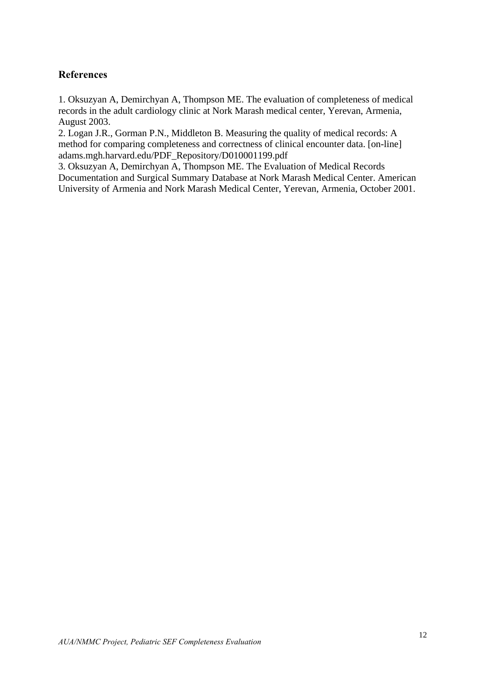# **References**

1. Oksuzyan A, Demirchyan A, Thompson ME. The evaluation of completeness of medical records in the adult cardiology clinic at Nork Marash medical center, Yerevan, Armenia, August 2003.

2. Logan J.R., Gorman P.N., Middleton B. Measuring the quality of medical records: A method for comparing completeness and correctness of clinical encounter data. [on-line] adams.mgh.harvard.edu/PDF\_Repository/D010001199.pdf

3. Oksuzyan A, Demirchyan A, Thompson ME. The Evaluation of Medical Records Documentation and Surgical Summary Database at Nork Marash Medical Center. American University of Armenia and Nork Marash Medical Center, Yerevan, Armenia, October 2001.